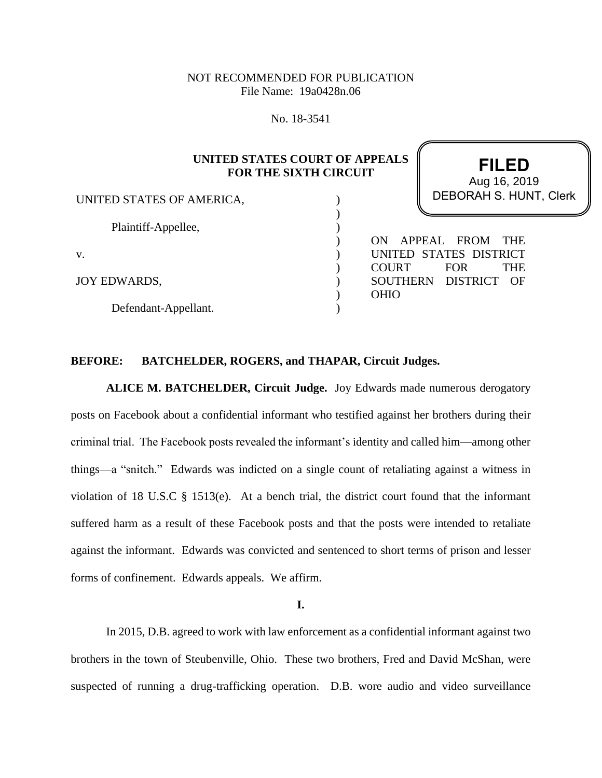# NOT RECOMMENDED FOR PUBLICATION File Name: 19a0428n.06

No. 18-3541

# **UNITED STATES COURT OF APPEALS FOR THE SIXTH CIRCUIT**

) ) ) ) ) ) ) ) )

UNITED STATES OF AMERICA,

Plaintiff-Appellee,

v.

JOY EDWARDS,

Defendant-Appellant.

**FILED** DEBORAH S. HUNT, Clerk Aug 16, 2019

ON APPEAL FROM THE UNITED STATES DISTRICT COURT FOR THE SOUTHERN DISTRICT OF OHIO

## **BEFORE: BATCHELDER, ROGERS, and THAPAR, Circuit Judges.**

**ALICE M. BATCHELDER, Circuit Judge.** Joy Edwards made numerous derogatory posts on Facebook about a confidential informant who testified against her brothers during their criminal trial. The Facebook posts revealed the informant's identity and called him—among other things—a "snitch." Edwards was indicted on a single count of retaliating against a witness in violation of 18 U.S.C § 1513(e). At a bench trial, the district court found that the informant suffered harm as a result of these Facebook posts and that the posts were intended to retaliate against the informant. Edwards was convicted and sentenced to short terms of prison and lesser forms of confinement. Edwards appeals. We affirm.

**I.**

In 2015, D.B. agreed to work with law enforcement as a confidential informant against two brothers in the town of Steubenville, Ohio. These two brothers, Fred and David McShan, were suspected of running a drug-trafficking operation. D.B. wore audio and video surveillance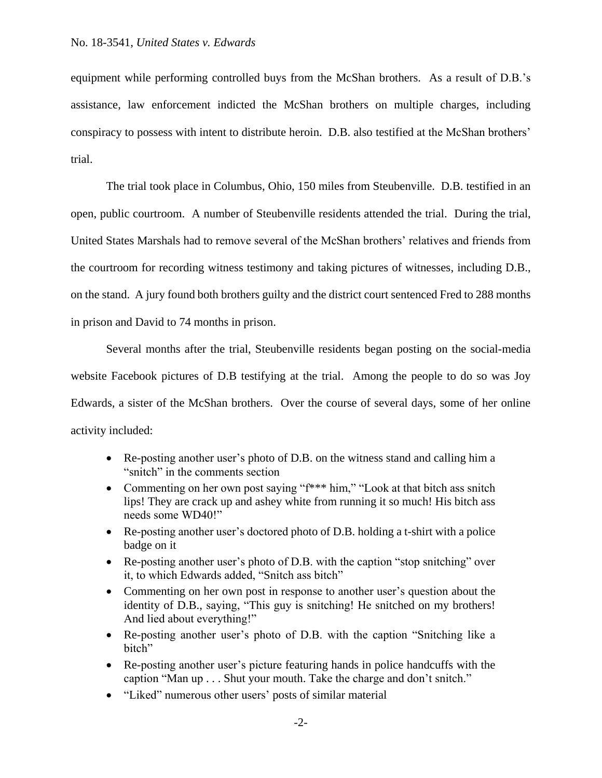equipment while performing controlled buys from the McShan brothers. As a result of D.B.'s assistance, law enforcement indicted the McShan brothers on multiple charges, including conspiracy to possess with intent to distribute heroin. D.B. also testified at the McShan brothers' trial.

The trial took place in Columbus, Ohio, 150 miles from Steubenville. D.B. testified in an open, public courtroom. A number of Steubenville residents attended the trial. During the trial, United States Marshals had to remove several of the McShan brothers' relatives and friends from the courtroom for recording witness testimony and taking pictures of witnesses, including D.B., on the stand. A jury found both brothers guilty and the district court sentenced Fred to 288 months in prison and David to 74 months in prison.

Several months after the trial, Steubenville residents began posting on the social-media website Facebook pictures of D.B testifying at the trial. Among the people to do so was Joy Edwards, a sister of the McShan brothers. Over the course of several days, some of her online activity included:

- Re-posting another user's photo of D.B. on the witness stand and calling him a "snitch" in the comments section
- Commenting on her own post saying "f\*\*\* him," "Look at that bitch ass snitch lips! They are crack up and ashey white from running it so much! His bitch ass needs some WD40!"
- Re-posting another user's doctored photo of D.B. holding a t-shirt with a police badge on it
- Re-posting another user's photo of D.B. with the caption "stop snitching" over it, to which Edwards added, "Snitch ass bitch"
- Commenting on her own post in response to another user's question about the identity of D.B., saying, "This guy is snitching! He snitched on my brothers! And lied about everything!"
- Re-posting another user's photo of D.B. with the caption "Snitching like a bitch"
- Re-posting another user's picture featuring hands in police handcuffs with the caption "Man up . . . Shut your mouth. Take the charge and don't snitch."
- "Liked" numerous other users' posts of similar material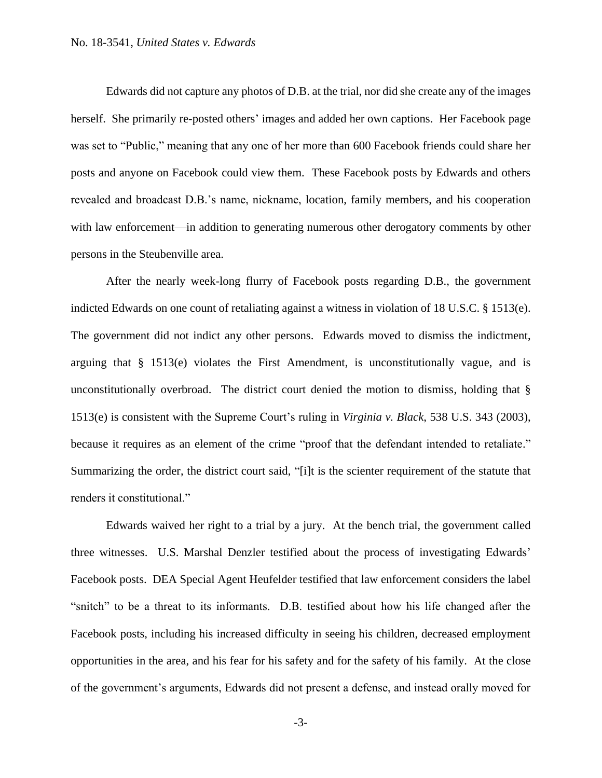Edwards did not capture any photos of D.B. at the trial, nor did she create any of the images herself. She primarily re-posted others' images and added her own captions. Her Facebook page was set to "Public," meaning that any one of her more than 600 Facebook friends could share her posts and anyone on Facebook could view them. These Facebook posts by Edwards and others revealed and broadcast D.B.'s name, nickname, location, family members, and his cooperation with law enforcement—in addition to generating numerous other derogatory comments by other persons in the Steubenville area.

After the nearly week-long flurry of Facebook posts regarding D.B., the government indicted Edwards on one count of retaliating against a witness in violation of 18 U.S.C. § 1513(e). The government did not indict any other persons. Edwards moved to dismiss the indictment, arguing that § 1513(e) violates the First Amendment, is unconstitutionally vague, and is unconstitutionally overbroad. The district court denied the motion to dismiss, holding that § 1513(e) is consistent with the Supreme Court's ruling in *Virginia v. Black*, 538 U.S. 343 (2003), because it requires as an element of the crime "proof that the defendant intended to retaliate." Summarizing the order, the district court said, "[i]t is the scienter requirement of the statute that renders it constitutional."

Edwards waived her right to a trial by a jury. At the bench trial, the government called three witnesses. U.S. Marshal Denzler testified about the process of investigating Edwards' Facebook posts. DEA Special Agent Heufelder testified that law enforcement considers the label "snitch" to be a threat to its informants. D.B. testified about how his life changed after the Facebook posts, including his increased difficulty in seeing his children, decreased employment opportunities in the area, and his fear for his safety and for the safety of his family. At the close of the government's arguments, Edwards did not present a defense, and instead orally moved for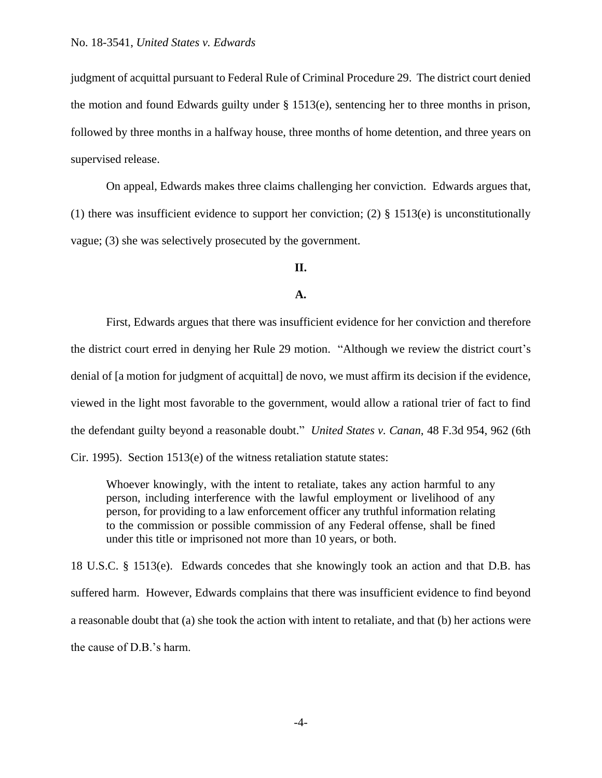judgment of acquittal pursuant to Federal Rule of Criminal Procedure 29. The district court denied the motion and found Edwards guilty under § 1513(e), sentencing her to three months in prison, followed by three months in a halfway house, three months of home detention, and three years on supervised release.

On appeal, Edwards makes three claims challenging her conviction. Edwards argues that, (1) there was insufficient evidence to support her conviction; (2)  $\S$  1513(e) is unconstitutionally vague; (3) she was selectively prosecuted by the government.

# **II.**

#### **A.**

First, Edwards argues that there was insufficient evidence for her conviction and therefore the district court erred in denying her Rule 29 motion. "Although we review the district court's denial of [a motion for judgment of acquittal] de novo, we must affirm its decision if the evidence, viewed in the light most favorable to the government, would allow a rational trier of fact to find the defendant guilty beyond a reasonable doubt." *United States v. Canan*, 48 F.3d 954, 962 (6th Cir. 1995). Section 1513(e) of the witness retaliation statute states:

Whoever knowingly, with the intent to retaliate, takes any action harmful to any person, including interference with the lawful employment or livelihood of any person, for providing to a law enforcement officer any truthful information relating to the commission or possible commission of any Federal offense, shall be fined under this title or imprisoned not more than 10 years, or both.

18 U.S.C. § 1513(e). Edwards concedes that she knowingly took an action and that D.B. has suffered harm. However, Edwards complains that there was insufficient evidence to find beyond a reasonable doubt that (a) she took the action with intent to retaliate, and that (b) her actions were the cause of D.B.'s harm.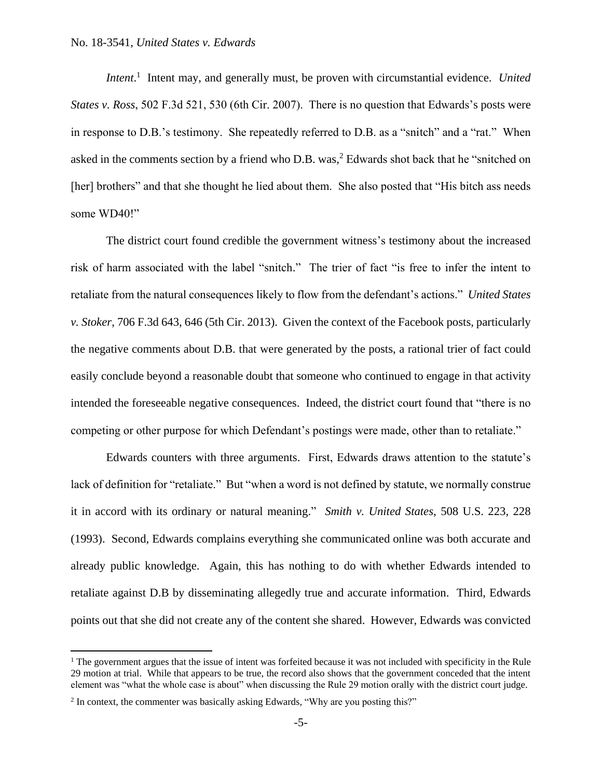*Intent.*<sup>1</sup> Intent may, and generally must, be proven with circumstantial evidence. *United States v. Ross*, 502 F.3d 521, 530 (6th Cir. 2007). There is no question that Edwards's posts were in response to D.B.'s testimony. She repeatedly referred to D.B. as a "snitch" and a "rat." When asked in the comments section by a friend who D.B. was,<sup>2</sup> Edwards shot back that he "snitched on [her] brothers" and that she thought he lied about them. She also posted that "His bitch ass needs some WD40!"

The district court found credible the government witness's testimony about the increased risk of harm associated with the label "snitch." The trier of fact "is free to infer the intent to retaliate from the natural consequences likely to flow from the defendant's actions." *United States v. Stoker*, 706 F.3d 643, 646 (5th Cir. 2013). Given the context of the Facebook posts, particularly the negative comments about D.B. that were generated by the posts, a rational trier of fact could easily conclude beyond a reasonable doubt that someone who continued to engage in that activity intended the foreseeable negative consequences. Indeed, the district court found that "there is no competing or other purpose for which Defendant's postings were made, other than to retaliate."

Edwards counters with three arguments. First, Edwards draws attention to the statute's lack of definition for "retaliate." But "when a word is not defined by statute, we normally construe it in accord with its ordinary or natural meaning." *Smith v. United States*, 508 U.S. 223, 228 (1993). Second, Edwards complains everything she communicated online was both accurate and already public knowledge. Again, this has nothing to do with whether Edwards intended to retaliate against D.B by disseminating allegedly true and accurate information. Third, Edwards points out that she did not create any of the content she shared. However, Edwards was convicted

 $\overline{a}$ 

 $<sup>1</sup>$  The government argues that the issue of intent was forfeited because it was not included with specificity in the Rule</sup> 29 motion at trial. While that appears to be true, the record also shows that the government conceded that the intent element was "what the whole case is about" when discussing the Rule 29 motion orally with the district court judge.

<sup>&</sup>lt;sup>2</sup> In context, the commenter was basically asking Edwards, "Why are you posting this?"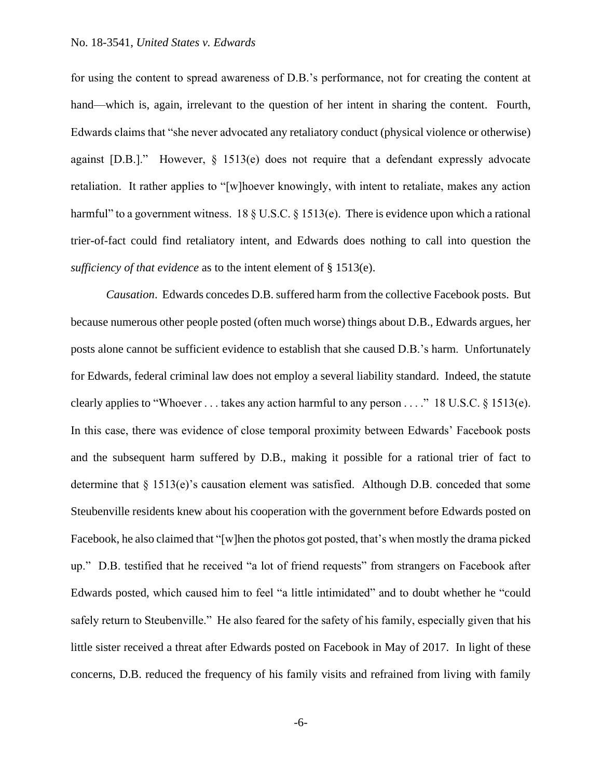for using the content to spread awareness of D.B.'s performance, not for creating the content at hand—which is, again, irrelevant to the question of her intent in sharing the content. Fourth, Edwards claims that "she never advocated any retaliatory conduct (physical violence or otherwise) against [D.B.]." However, § 1513(e) does not require that a defendant expressly advocate retaliation. It rather applies to "[w]hoever knowingly, with intent to retaliate, makes any action harmful" to a government witness. 18  $\S$  U.S.C.  $\S$  1513(e). There is evidence upon which a rational trier-of-fact could find retaliatory intent, and Edwards does nothing to call into question the *sufficiency of that evidence* as to the intent element of § 1513(e).

*Causation*. Edwards concedes D.B. suffered harm from the collective Facebook posts. But because numerous other people posted (often much worse) things about D.B., Edwards argues, her posts alone cannot be sufficient evidence to establish that she caused D.B.'s harm. Unfortunately for Edwards, federal criminal law does not employ a several liability standard. Indeed, the statute clearly applies to "Whoever . . . takes any action harmful to any person . . . ." 18 U.S.C. § 1513(e). In this case, there was evidence of close temporal proximity between Edwards' Facebook posts and the subsequent harm suffered by D.B., making it possible for a rational trier of fact to determine that  $\S 1513(e)$ 's causation element was satisfied. Although D.B. conceded that some Steubenville residents knew about his cooperation with the government before Edwards posted on Facebook, he also claimed that "[w]hen the photos got posted, that's when mostly the drama picked up." D.B. testified that he received "a lot of friend requests" from strangers on Facebook after Edwards posted, which caused him to feel "a little intimidated" and to doubt whether he "could safely return to Steubenville." He also feared for the safety of his family, especially given that his little sister received a threat after Edwards posted on Facebook in May of 2017. In light of these concerns, D.B. reduced the frequency of his family visits and refrained from living with family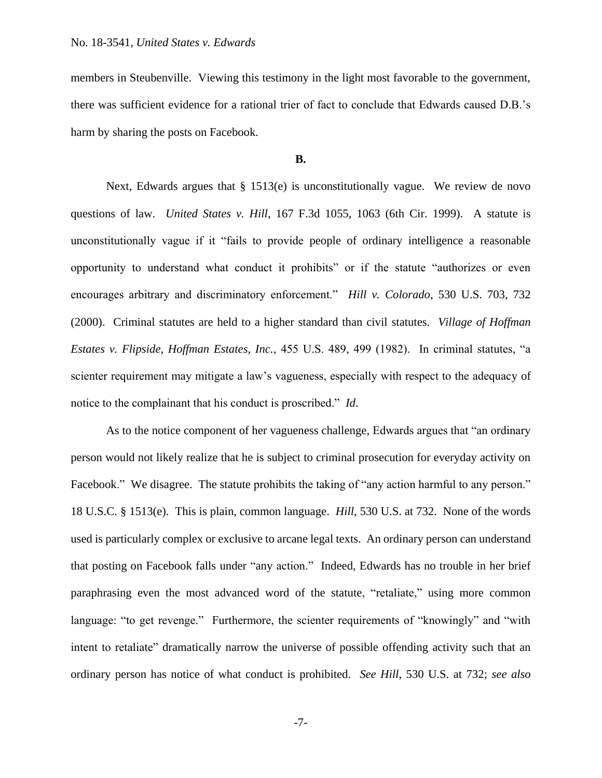members in Steubenville. Viewing this testimony in the light most favorable to the government, there was sufficient evidence for a rational trier of fact to conclude that Edwards caused D.B.'s harm by sharing the posts on Facebook.

### **B.**

Next, Edwards argues that  $\S$  1513(e) is unconstitutionally vague. We review de novo questions of law. *United States v. Hill*, 167 F.3d 1055, 1063 (6th Cir. 1999). A statute is unconstitutionally vague if it "fails to provide people of ordinary intelligence a reasonable opportunity to understand what conduct it prohibits" or if the statute "authorizes or even encourages arbitrary and discriminatory enforcement." *Hill v. Colorado*, 530 U.S. 703, 732 (2000). Criminal statutes are held to a higher standard than civil statutes. *Village of Hoffman Estates v. Flipside, Hoffman Estates, Inc.*, 455 U.S. 489, 499 (1982). In criminal statutes, "a scienter requirement may mitigate a law's vagueness, especially with respect to the adequacy of notice to the complainant that his conduct is proscribed." *Id*.

As to the notice component of her vagueness challenge, Edwards argues that "an ordinary person would not likely realize that he is subject to criminal prosecution for everyday activity on Facebook." We disagree. The statute prohibits the taking of "any action harmful to any person." 18 U.S.C. § 1513(e). This is plain, common language. *Hill*, 530 U.S. at 732. None of the words used is particularly complex or exclusive to arcane legal texts. An ordinary person can understand that posting on Facebook falls under "any action." Indeed, Edwards has no trouble in her brief paraphrasing even the most advanced word of the statute, "retaliate," using more common language: "to get revenge." Furthermore, the scienter requirements of "knowingly" and "with intent to retaliate" dramatically narrow the universe of possible offending activity such that an ordinary person has notice of what conduct is prohibited. *See Hill*, 530 U.S. at 732; *see also*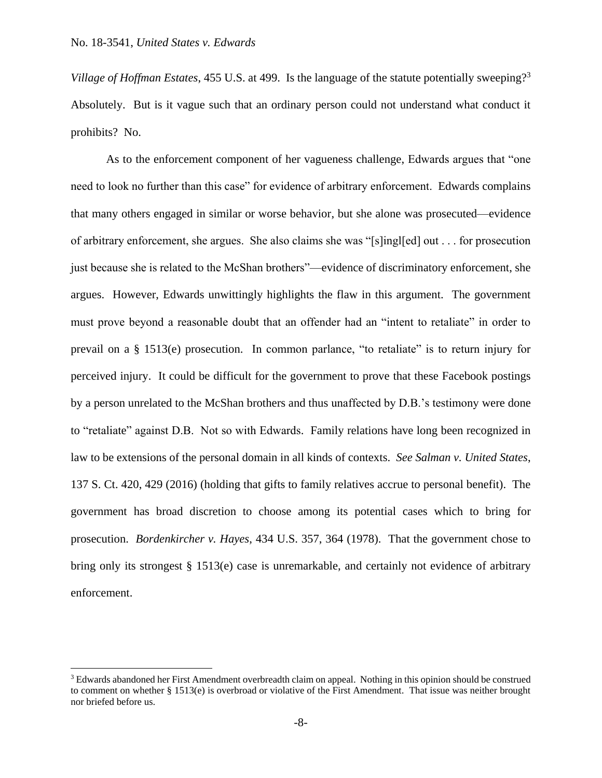$\overline{a}$ 

*Village of Hoffman Estates*, 455 U.S. at 499. Is the language of the statute potentially sweeping?<sup>3</sup> Absolutely. But is it vague such that an ordinary person could not understand what conduct it prohibits? No.

As to the enforcement component of her vagueness challenge, Edwards argues that "one need to look no further than this case" for evidence of arbitrary enforcement. Edwards complains that many others engaged in similar or worse behavior, but she alone was prosecuted—evidence of arbitrary enforcement, she argues. She also claims she was "[s]ingl[ed] out . . . for prosecution just because she is related to the McShan brothers"—evidence of discriminatory enforcement, she argues. However, Edwards unwittingly highlights the flaw in this argument. The government must prove beyond a reasonable doubt that an offender had an "intent to retaliate" in order to prevail on a § 1513(e) prosecution. In common parlance, "to retaliate" is to return injury for perceived injury. It could be difficult for the government to prove that these Facebook postings by a person unrelated to the McShan brothers and thus unaffected by D.B.'s testimony were done to "retaliate" against D.B. Not so with Edwards. Family relations have long been recognized in law to be extensions of the personal domain in all kinds of contexts. *See Salman v. United States*, 137 S. Ct. 420, 429 (2016) (holding that gifts to family relatives accrue to personal benefit). The government has broad discretion to choose among its potential cases which to bring for prosecution. *Bordenkircher v. Hayes*, 434 U.S. 357, 364 (1978). That the government chose to bring only its strongest § 1513(e) case is unremarkable, and certainly not evidence of arbitrary enforcement.

<sup>3</sup> Edwards abandoned her First Amendment overbreadth claim on appeal. Nothing in this opinion should be construed to comment on whether § 1513(e) is overbroad or violative of the First Amendment. That issue was neither brought nor briefed before us.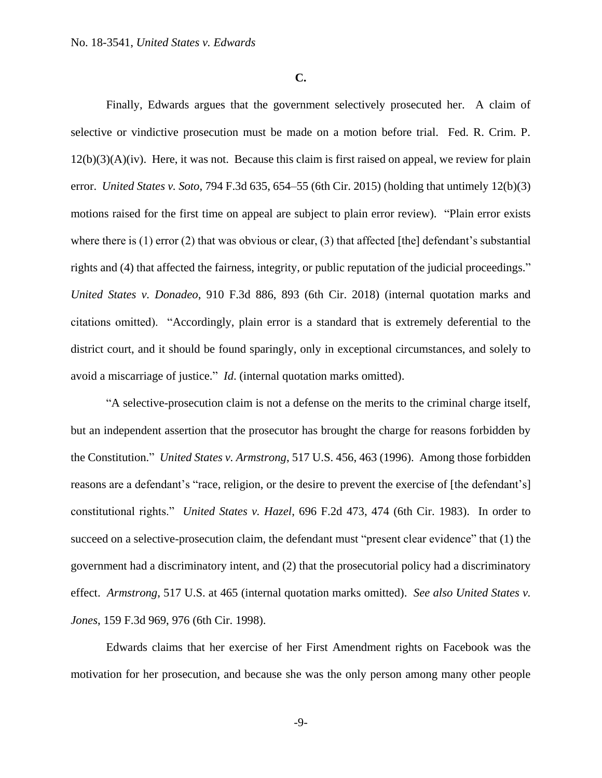**C.**

Finally, Edwards argues that the government selectively prosecuted her. A claim of selective or vindictive prosecution must be made on a motion before trial. Fed. R. Crim. P.  $12(b)(3)(A)(iv)$ . Here, it was not. Because this claim is first raised on appeal, we review for plain error. *United States v. Soto*, 794 F.3d 635, 654–55 (6th Cir. 2015) (holding that untimely 12(b)(3) motions raised for the first time on appeal are subject to plain error review). "Plain error exists where there is  $(1)$  error  $(2)$  that was obvious or clear,  $(3)$  that affected [the] defendant's substantial rights and (4) that affected the fairness, integrity, or public reputation of the judicial proceedings." *United States v. Donadeo*, 910 F.3d 886, 893 (6th Cir. 2018) (internal quotation marks and citations omitted). "Accordingly, plain error is a standard that is extremely deferential to the district court, and it should be found sparingly, only in exceptional circumstances, and solely to avoid a miscarriage of justice." *Id*. (internal quotation marks omitted).

"A selective-prosecution claim is not a defense on the merits to the criminal charge itself, but an independent assertion that the prosecutor has brought the charge for reasons forbidden by the Constitution." *United States v. Armstrong*, 517 U.S. 456, 463 (1996). Among those forbidden reasons are a defendant's "race, religion, or the desire to prevent the exercise of [the defendant's] constitutional rights." *United States v. Hazel*, 696 F.2d 473, 474 (6th Cir. 1983). In order to succeed on a selective-prosecution claim, the defendant must "present clear evidence" that (1) the government had a discriminatory intent, and (2) that the prosecutorial policy had a discriminatory effect. *Armstrong*, 517 U.S. at 465 (internal quotation marks omitted). *See also United States v. Jones*, 159 F.3d 969, 976 (6th Cir. 1998).

Edwards claims that her exercise of her First Amendment rights on Facebook was the motivation for her prosecution, and because she was the only person among many other people

-9-